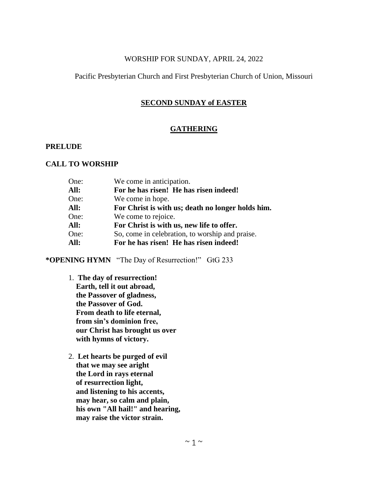## WORSHIP FOR SUNDAY, APRIL 24, 2022

# Pacific Presbyterian Church and First Presbyterian Church of Union, Missouri

# **SECOND SUNDAY of EASTER**

## **GATHERING**

## **PRELUDE**

## **CALL TO WORSHIP**

| We come in anticipation.                          |
|---------------------------------------------------|
| For he has risen! He has risen indeed!            |
| We come in hope.                                  |
| For Christ is with us; death no longer holds him. |
| We come to rejoice.                               |
| For Christ is with us, new life to offer.         |
| So, come in celebration, to worship and praise.   |
| For he has risen! He has risen indeed!            |
|                                                   |

**\*OPENING HYMN** "The Day of Resurrection!" GtG 233

- 1. **The day of resurrection! Earth, tell it out abroad, the Passover of gladness, the Passover of God. From death to life eternal, from sin's dominion free, our Christ has brought us over with hymns of victory.**
- 2. **Let hearts be purged of evil that we may see aright the Lord in rays eternal of resurrection light, and listening to his accents, may hear, so calm and plain, his own "All hail!" and hearing, may raise the victor strain.**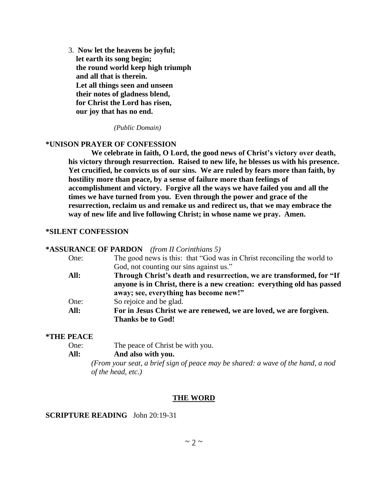3. **Now let the heavens be joyful; let earth its song begin; the round world keep high triumph and all that is therein. Let all things seen and unseen their notes of gladness blend, for Christ the Lord has risen, our joy that has no end.**

*(Public Domain)*

## **\*UNISON PRAYER OF CONFESSION**

**We celebrate in faith, O Lord, the good news of Christ's victory over death, his victory through resurrection. Raised to new life, he blesses us with his presence. Yet crucified, he convicts us of our sins. We are ruled by fears more than faith, by hostility more than peace, by a sense of failure more than feelings of accomplishment and victory. Forgive all the ways we have failed you and all the times we have turned from you. Even through the power and grace of the resurrection, reclaim us and remake us and redirect us, that we may embrace the way of new life and live following Christ; in whose name we pray. Amen.**

### **\*SILENT CONFESSION**

#### **\*ASSURANCE OF PARDON** *(from II Corinthians 5)*

| One: | The good news is this: that "God was in Christ reconciling the world to |
|------|-------------------------------------------------------------------------|
|      | God, not counting our sins against us."                                 |
| All: | Through Christ's death and resurrection, we are transformed, for "If"   |
|      | anyone is in Christ, there is a new creation: everything old has passed |
|      | away; see, everything has become new!"                                  |
| One: | So rejoice and be glad.                                                 |
| All: | For in Jesus Christ we are renewed, we are loved, we are forgiven.      |
|      | <b>Thanks be to God!</b>                                                |

#### **\*THE PEACE**

| One: | The peace of Christ be with you. |  |
|------|----------------------------------|--|
|      |                                  |  |

# **All: And also with you.**

*(From your seat, a brief sign of peace may be shared: a wave of the hand, a nod of the head, etc.)*

## **THE WORD**

## **SCRIPTURE READING** John 20:19-31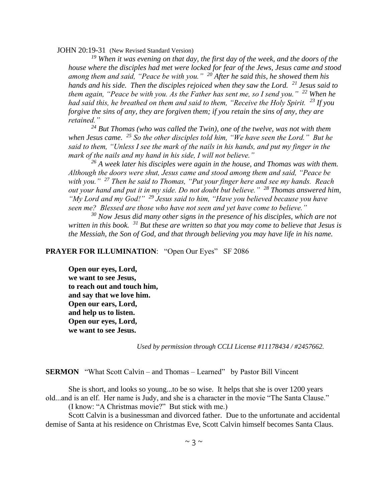JOHN 20:19-31 (New Revised Standard Version)

*<sup>19</sup> When it was evening on that day, the first day of the week, and the doors of the house where the disciples had met were locked for fear of the Jews, Jesus came and stood among them and said, "Peace be with you." <sup>20</sup> After he said this, he showed them his hands and his side. Then the disciples rejoiced when they saw the Lord. <sup>21</sup> Jesus said to them again, "Peace be with you. As the Father has sent me, so I send you." <sup>22</sup> When he had said this, he breathed on them and said to them, "Receive the Holy Spirit. <sup>23</sup> If you forgive the sins of any, they are forgiven them; if you retain the sins of any, they are retained."* 

*<sup>24</sup> But Thomas (who was called the Twin), one of the twelve, was not with them when Jesus came. <sup>25</sup> So the other disciples told him, "We have seen the Lord." But he said to them, "Unless I see the mark of the nails in his hands, and put my finger in the mark of the nails and my hand in his side, I will not believe."*

*<sup>26</sup> A week later his disciples were again in the house, and Thomas was with them. Although the doors were shut, Jesus came and stood among them and said, "Peace be with you." <sup>27</sup> Then he said to Thomas, "Put your finger here and see my hands. Reach out your hand and put it in my side. Do not doubt but believe." <sup>28</sup> Thomas answered him, "My Lord and my God!" <sup>29</sup> Jesus said to him, "Have you believed because you have seen me? Blessed are those who have not seen and yet have come to believe."* 

*<sup>30</sup> Now Jesus did many other signs in the presence of his disciples, which are not written in this book. <sup>31</sup> But these are written so that you may come to believe that Jesus is the Messiah, the Son of God, and that through believing you may have life in his name.*

## **PRAYER FOR ILLUMINATION:** "Open Our Eyes" SF 2086

**Open our eyes, Lord, we want to see Jesus, to reach out and touch him, and say that we love him. Open our ears, Lord, and help us to listen. Open our eyes, Lord, we want to see Jesus.**

*Used by permission through CCLI License #11178434 / #2457662.*

### **SERMON** "What Scott Calvin – and Thomas – Learned" by Pastor Bill Vincent

She is short, and looks so young...to be so wise. It helps that she is over 1200 years old...and is an elf. Her name is Judy, and she is a character in the movie "The Santa Clause."

(I know: "A Christmas movie?" But stick with me.)

Scott Calvin is a businessman and divorced father. Due to the unfortunate and accidental demise of Santa at his residence on Christmas Eve, Scott Calvin himself becomes Santa Claus.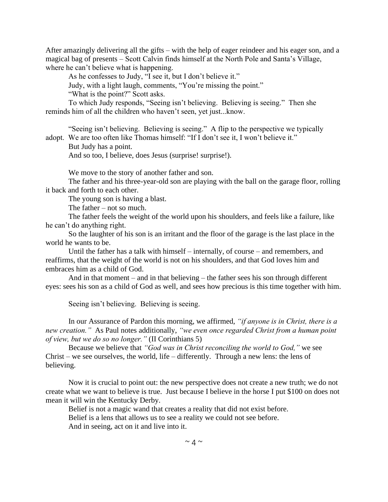After amazingly delivering all the gifts – with the help of eager reindeer and his eager son, and a magical bag of presents – Scott Calvin finds himself at the North Pole and Santa's Village, where he can't believe what is happening.

As he confesses to Judy, "I see it, but I don't believe it."

Judy, with a light laugh, comments, "You're missing the point."

"What is the point?" Scott asks.

To which Judy responds, "Seeing isn't believing. Believing is seeing." Then she reminds him of all the children who haven't seen, yet just...know.

"Seeing isn't believing. Believing is seeing." A flip to the perspective we typically adopt. We are too often like Thomas himself: "If I don't see it, I won't believe it."

But Judy has a point.

And so too, I believe, does Jesus (surprise! surprise!).

We move to the story of another father and son.

The father and his three-year-old son are playing with the ball on the garage floor, rolling it back and forth to each other.

The young son is having a blast.

The father – not so much.

The father feels the weight of the world upon his shoulders, and feels like a failure, like he can't do anything right.

So the laughter of his son is an irritant and the floor of the garage is the last place in the world he wants to be.

Until the father has a talk with himself – internally, of course – and remembers, and reaffirms, that the weight of the world is not on his shoulders, and that God loves him and embraces him as a child of God.

And in that moment – and in that believing – the father sees his son through different eyes: sees his son as a child of God as well, and sees how precious is this time together with him.

Seeing isn't believing. Believing is seeing.

In our Assurance of Pardon this morning, we affirmed, *"if anyone is in Christ, there is a new creation."* As Paul notes additionally, *"we even once regarded Christ from a human point of view, but we do so no longer."* (II Corinthians 5)

Because we believe that *"God was in Christ reconciling the world to God,"* we see Christ – we see ourselves, the world, life – differently. Through a new lens: the lens of believing.

Now it is crucial to point out: the new perspective does not create a new truth; we do not create what we want to believe is true. Just because I believe in the horse I put \$100 on does not mean it will win the Kentucky Derby.

Belief is not a magic wand that creates a reality that did not exist before.

Belief is a lens that allows us to see a reality we could not see before.

And in seeing, act on it and live into it.

 $\sim$  4  $\sim$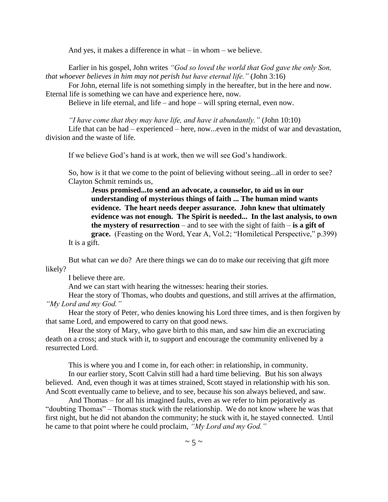And yes, it makes a difference in what – in whom – we believe.

Earlier in his gospel, John writes *"God so loved the world that God gave the only Son, that whoever believes in him may not perish but have eternal life."* (John 3:16)

For John, eternal life is not something simply in the hereafter, but in the here and now. Eternal life is something we can have and experience here, now.

Believe in life eternal, and life – and hope – will spring eternal, even now.

*"I have come that they may have life, and have it abundantly."* (John 10:10)

Life that can be had – experienced – here, now...even in the midst of war and devastation, division and the waste of life.

If we believe God's hand is at work, then we will see God's handiwork.

So, how is it that we come to the point of believing without seeing...all in order to see? Clayton Schmit reminds us,

**Jesus promised...to send an advocate, a counselor, to aid us in our understanding of mysterious things of faith ... The human mind wants evidence. The heart needs deeper assurance. John knew that ultimately evidence was not enough. The Spirit is needed... In the last analysis, to own the mystery of resurrection** – and to see with the sight of faith – **is a gift of grace.** (Feasting on the Word, Year A, Vol.2; "Homiletical Perspective," p.399)

It is a gift.

But what can *we* do? Are there things we can do to make our receiving that gift more likely?

I believe there are.

And we can start with hearing the witnesses: hearing their stories.

Hear the story of Thomas, who doubts and questions, and still arrives at the affirmation, *"My Lord and my God."*

Hear the story of Peter, who denies knowing his Lord three times, and is then forgiven by that same Lord, and empowered to carry on that good news.

Hear the story of Mary, who gave birth to this man, and saw him die an excruciating death on a cross; and stuck with it, to support and encourage the community enlivened by a resurrected Lord.

This is where you and I come in, for each other: in relationship, in community.

In our earlier story, Scott Calvin still had a hard time believing. But his son always believed. And, even though it was at times strained, Scott stayed in relationship with his son. And Scott eventually came to believe, and to see, because his son always believed, and saw.

And Thomas – for all his imagined faults, even as we refer to him pejoratively as "doubting Thomas" – Thomas stuck with the relationship. We do not know where he was that first night, but he did not abandon the community; he stuck with it, he stayed connected. Until he came to that point where he could proclaim, *"My Lord and my God."*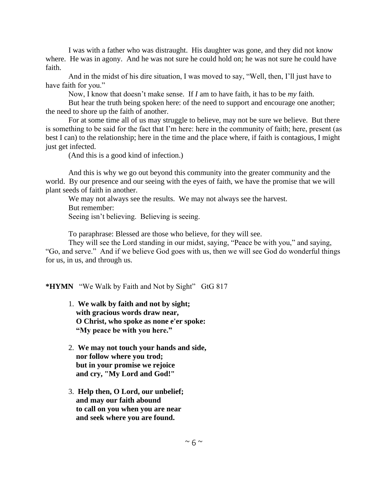I was with a father who was distraught. His daughter was gone, and they did not know where. He was in agony. And he was not sure he could hold on; he was not sure he could have faith.

And in the midst of his dire situation, I was moved to say, "Well, then, I'll just have to have faith for you."

Now, I know that doesn't make sense. If *I* am to have faith, it has to be *my* faith.

But hear the truth being spoken here: of the need to support and encourage one another; the need to shore up the faith of another.

For at some time all of us may struggle to believe, may not be sure we believe. But there is something to be said for the fact that I'm here: here in the community of faith; here, present (as best I can) to the relationship; here in the time and the place where, if faith is contagious, I might just get infected.

(And this is a good kind of infection.)

And this is why we go out beyond this community into the greater community and the world. By our presence and our seeing with the eyes of faith, we have the promise that we will plant seeds of faith in another.

We may not always see the results. We may not always see the harvest. But remember:

Seeing isn't believing. Believing is seeing.

To paraphrase: Blessed are those who believe, for they will see.

They will see the Lord standing in our midst, saying, "Peace be with you," and saying, "Go, and serve." And if we believe God goes with us, then we will see God do wonderful things for us, in us, and through us.

**\*HYMN** "We Walk by Faith and Not by Sight" GtG 817

- 1. **We walk by faith and not by sight; with gracious words draw near, O Christ, who spoke as none e'er spoke: "My peace be with you here."**
- 2. **We may not touch your hands and side, nor follow where you trod; but in your promise we rejoice and cry, "My Lord and God!"**
- 3. **Help then, O Lord, our unbelief; and may our faith abound to call on you when you are near and seek where you are found.**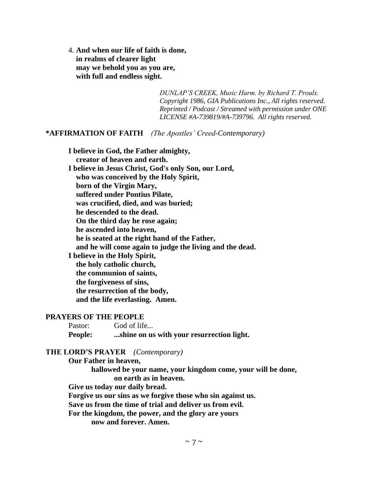4. **And when our life of faith is done, in realms of clearer light may we behold you as you are, with full and endless sight.**

> *DUNLAP'S CREEK, Music Harm. by Richard T. Proulx. Copyright 1986, GIA Publications Inc., All rights reserved. Reprinted / Podcast / Streamed with permission under ONE LICENSE #A-739819/#A-739796. All rights reserved.*

# **\*AFFIRMATION OF FAITH** *(The Apostles' Creed-Contemporary)*

**I believe in God, the Father almighty, creator of heaven and earth. I believe in Jesus Christ, God's only Son, our Lord, who was conceived by the Holy Spirit, born of the Virgin Mary, suffered under Pontius Pilate, was crucified, died, and was buried; he descended to the dead. On the third day he rose again; he ascended into heaven, he is seated at the right hand of the Father, and he will come again to judge the living and the dead. I believe in the Holy Spirit, the holy catholic church, the communion of saints, the forgiveness of sins, the resurrection of the body, and the life everlasting. Amen.**

## **PRAYERS OF THE PEOPLE**

Pastor: God of life... **People: ...shine on us with your resurrection light.**

# **THE LORD'S PRAYER** *(Contemporary)*

**Our Father in heaven, hallowed be your name, your kingdom come, your will be done, on earth as in heaven. Give us today our daily bread. Forgive us our sins as we forgive those who sin against us. Save us from the time of trial and deliver us from evil. For the kingdom, the power, and the glory are yours now and forever. Amen.**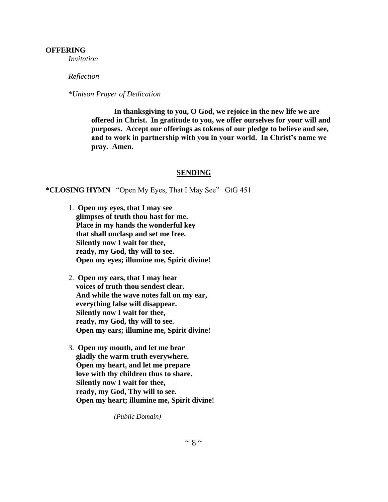### **OFFERING**

*Invitation*

#### *Reflection*

\**Unison Prayer of Dedication*

**In thanksgiving to you, O God, we rejoice in the new life we are offered in Christ. In gratitude to you, we offer ourselves for your will and purposes. Accept our offerings as tokens of our pledge to believe and see, and to work in partnership with you in your world. In Christ's name we pray. Amen.**

## **SENDING**

**\*CLOSING HYMN** "Open My Eyes, That I May See" GtG 451

- 1. **Open my eyes, that I may see glimpses of truth thou hast for me. Place in my hands the wonderful key that shall unclasp and set me free. Silently now I wait for thee, ready, my God, thy will to see. Open my eyes; illumine me, Spirit divine!**
- 2. **Open my ears, that I may hear voices of truth thou sendest clear. And while the wave notes fall on my ear, everything false will disappear. Silently now I wait for thee, ready, my God, thy will to see. Open my ears; illumine me, Spirit divine!**
- 3. **Open my mouth, and let me bear gladly the warm truth everywhere. Open my heart, and let me prepare love with thy children thus to share. Silently now I wait for thee, ready, my God, Thy will to see. Open my heart; illumine me, Spirit divine!**

*(Public Domain)*